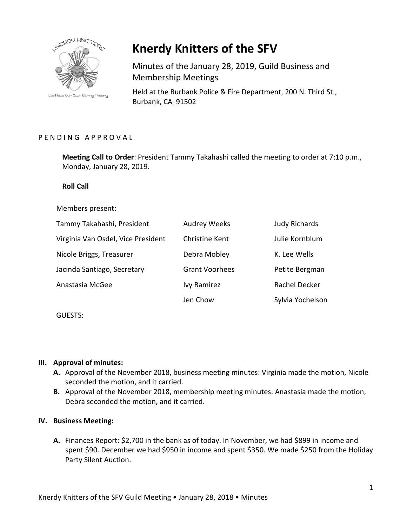

We Have Our Own String Theory

# **Knerdy Knitters of the SFV**

Minutes of the January 28, 2019, Guild Business and Membership Meetings

Held at the Burbank Police & Fire Department, 200 N. Third St., Burbank, CA 91502

### PENDING APPROVAL

**Meeting Call to Order**: President Tammy Takahashi called the meeting to order at 7:10 p.m., Monday, January 28, 2019.

#### **Roll Call**

#### Members present:

| Tammy Takahashi, President         | <b>Audrey Weeks</b>   | <b>Judy Richards</b> |
|------------------------------------|-----------------------|----------------------|
| Virginia Van Osdel, Vice President | Christine Kent        | Julie Kornblum       |
| Nicole Briggs, Treasurer           | Debra Mobley          | K. Lee Wells         |
| Jacinda Santiago, Secretary        | <b>Grant Voorhees</b> | Petite Bergman       |
| Anastasia McGee                    | <b>Ivy Ramirez</b>    | Rachel Decker        |
|                                    | Jen Chow              | Sylvia Yochelson     |

GUESTS:

### **III. Approval of minutes:**

- **A.** Approval of the November 2018, business meeting minutes: Virginia made the motion, Nicole seconded the motion, and it carried.
- **B.** Approval of the November 2018, membership meeting minutes: Anastasia made the motion, Debra seconded the motion, and it carried.

#### **IV. Business Meeting:**

**A.** Finances Report: \$2,700 in the bank as of today. In November, we had \$899 in income and spent \$90. December we had \$950 in income and spent \$350. We made \$250 from the Holiday Party Silent Auction.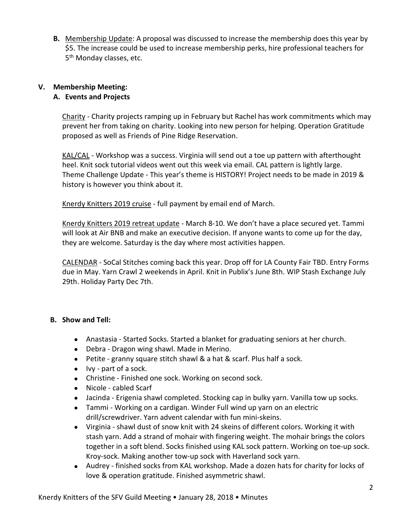**B.** Membership Update: A proposal was discussed to increase the membership does this year by \$5. The increase could be used to increase membership perks, hire professional teachers for 5<sup>th</sup> Monday classes, etc.

## **V. Membership Meeting:**

## **A. Events and Projects**

Charity - Charity projects ramping up in February but Rachel has work commitments which may prevent her from taking on charity. Looking into new person for helping. Operation Gratitude proposed as well as Friends of Pine Ridge Reservation.

KAL/CAL - Workshop was a success. Virginia will send out a toe up pattern with afterthought heel. Knit sock tutorial videos went out this week via email. CAL pattern is lightly large. Theme Challenge Update - This year's theme is HISTORY! Project needs to be made in 2019 & history is however you think about it.

Knerdy Knitters 2019 cruise - full payment by email end of March.

Knerdy Knitters 2019 retreat update - March 8-10. We don't have a place secured yet. Tammi will look at Air BNB and make an executive decision. If anyone wants to come up for the day, they are welcome. Saturday is the day where most activities happen.

CALENDAR - SoCal Stitches coming back this year. Drop off for LA County Fair TBD. Entry Forms due in May. Yarn Crawl 2 weekends in April. Knit in Publix's June 8th. WIP Stash Exchange July 29th. Holiday Party Dec 7th.

## **B. Show and Tell:**

- Anastasia Started Socks. Started a blanket for graduating seniors at her church.
- Debra Dragon wing shawl. Made in Merino.
- Petite granny square stitch shawl & a hat & scarf. Plus half a sock.
- Ivy part of a sock.
- Christine Finished one sock. Working on second sock.
- Nicole cabled Scarf
- Jacinda Erigenia shawl completed. Stocking cap in bulky yarn. Vanilla tow up socks.
- Tammi Working on a cardigan. Winder Full wind up yarn on an electric drill/screwdriver. Yarn advent calendar with fun mini-skeins.
- Virginia shawl dust of snow knit with 24 skeins of different colors. Working it with stash yarn. Add a strand of mohair with fingering weight. The mohair brings the colors together in a soft blend. Socks finished using KAL sock pattern. Working on toe-up sock. Kroy-sock. Making another tow-up sock with Haverland sock yarn.
- Audrey finished socks from KAL workshop. Made a dozen hats for charity for locks of love & operation gratitude. Finished asymmetric shawl.